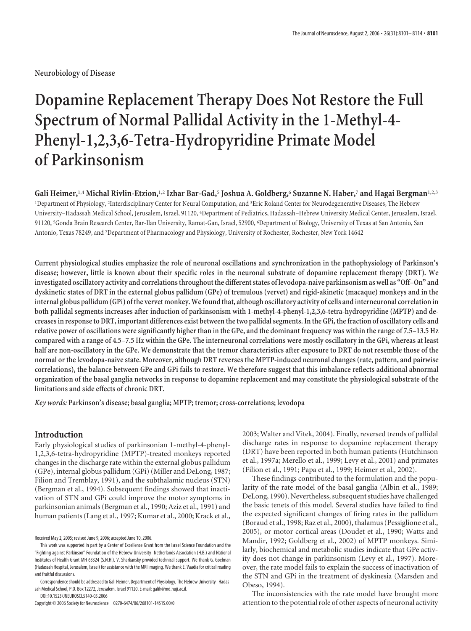**Neurobiology of Disease**

# **Dopamine Replacement Therapy Does Not Restore the Full Spectrum of Normal Pallidal Activity in the 1-Methyl-4- Phenyl-1,2,3,6-Tetra-Hydropyridine Primate Model of Parkinsonism**

**Gali Heimer,**1,4 **Michal Rivlin-Etzion,**1,2 **Izhar Bar-Gad,**<sup>5</sup> **Joshua A. Goldberg,**<sup>6</sup> **Suzanne N. Haber,**<sup>7</sup> **and Hagai Bergman**1,2,3 <sup>1</sup>Department of Physiology, <sup>2</sup>Interdisciplinary Center for Neural Computation, and <sup>3</sup>Eric Roland Center for Neurodegenerative Diseases, The Hebrew University–Hadassah Medical School, Jerusalem, Israel, 91120, <sup>4</sup> Department of Pediatrics, Hadassah–Hebrew University Medical Center, Jerusalem, Israel, 91120, <sup>5</sup>Gonda Brain Research Center, Bar-Ilan University, Ramat-Gan, Israel, 52900, <sup>6</sup>Department of Biology, University of Texas at San Antonio, San Antonio, Texas 78249, and <sup>7</sup> Department of Pharmacology and Physiology, University of Rochester, Rochester, New York 14642

**Current physiological studies emphasize the role of neuronal oscillations and synchronization in the pathophysiology of Parkinson's disease; however, little is known about their specific roles in the neuronal substrate of dopamine replacement therapy (DRT). We investigated oscillatory activity and correlationsthroughoutthe different states of levodopa-naive parkinsonism as well as "Off–On" and dyskinetic states of DRT in the external globus pallidum (GPe) of tremulous (vervet) and rigid-akinetic (macaque) monkeys and in the** internal globus pallidum (GPi) of the vervet monkey. We found that, although oscillatory activity of cells and interneuronal correlation in **both pallidal segments increases after induction of parkinsonism with 1-methyl-4-phenyl-1,2,3,6-tetra-hydropyridine (MPTP) and decreases in response to DRT, important differences exist between the two pallidal segments. In the GPi, the fraction of oscillatory cells and relative power of oscillations were significantly higher than in the GPe, and the dominant frequency was within the range of 7.5–13.5 Hz compared with a range of 4.5–7.5 Hz within the GPe. The interneuronal correlations were mostly oscillatory in the GPi, whereas at least half are non-oscillatory in the GPe. We demonstrate that the tremor characteristics after exposure to DRT do not resemble those of the normal or the levodopa-naive state. Moreover, although DRT reverses the MPTP-induced neuronal changes (rate, pattern, and pairwise correlations), the balance between GPe and GPi fails to restore. We therefore suggest that this imbalance reflects additional abnormal organization of the basal ganglia networks in response to dopamine replacement and may constitute the physiological substrate of the limitations and side effects of chronic DRT.**

*Key words:* **Parkinson's disease; basal ganglia; MPTP; tremor; cross-correlations; levodopa**

## **Introduction**

Early physiological studies of parkinsonian 1-methyl-4-phenyl-1,2,3,6-tetra-hydropyridine (MPTP)-treated monkeys reported changes in the discharge rate within the external globus pallidum (GPe), internal globus pallidum (GPi) (Miller and DeLong, 1987; Filion and Tremblay, 1991), and the subthalamic nucleus (STN) (Bergman et al., 1994). Subsequent findings showed that inactivation of STN and GPi could improve the motor symptoms in parkinsonian animals (Bergman et al., 1990; Aziz et al., 1991) and human patients (Lang et al., 1997; Kumar et al., 2000; Krack et al.,

DOI:10.1523/JNEUROSCI.5140-05.2006

Copyright © 2006 Society for Neuroscience 0270-6474/06/268101-14\$15.00/0

2003; Walter and Vitek, 2004). Finally, reversed trends of pallidal discharge rates in response to dopamine replacement therapy (DRT) have been reported in both human patients (Hutchinson et al., 1997a; Merello et al., 1999; Levy et al., 2001) and primates (Filion et al., 1991; Papa et al., 1999; Heimer et al., 2002).

These findings contributed to the formulation and the popularity of the rate model of the basal ganglia (Albin et al., 1989; DeLong, 1990). Nevertheless, subsequent studies have challenged the basic tenets of this model. Several studies have failed to find the expected significant changes of firing rates in the pallidum (Boraud et al., 1998; Raz et al., 2000), thalamus (Pessiglione et al., 2005), or motor cortical areas (Doudet et al., 1990; Watts and Mandir, 1992; Goldberg et al., 2002) of MPTP monkeys. Similarly, biochemical and metabolic studies indicate that GPe activity does not change in parkinsonism (Levy et al., 1997). Moreover, the rate model fails to explain the success of inactivation of the STN and GPi in the treatment of dyskinesia (Marsden and Obeso, 1994).

The inconsistencies with the rate model have brought more attention to the potential role of other aspects of neuronal activity

Received May 2, 2005; revised June 9, 2006; accepted June 10, 2006.

This work was supported in part by a Center of Excellence Grant from the Israel Science Foundation and the "Fighting against Parkinson" Foundation of the Hebrew University–Netherlands Association (H.B.) and National Institutes of Health Grant MH 63324 (S.N.H.). V. Sharkansky provided technical support. We thank G. Goelman (Hadassah Hospital, Jerusalem, Israel) for assistance with the MRI imaging. We thank E. Vaadia for critical reading and fruitful discussions.

Correspondence should be addressed to Gali Heimer, Department of Physiology, The Hebrew University-Hadassah Medical School, P.O. Box 12272, Jerusalem, Israel 91120. E-mail: galih@md.huji.ac.il.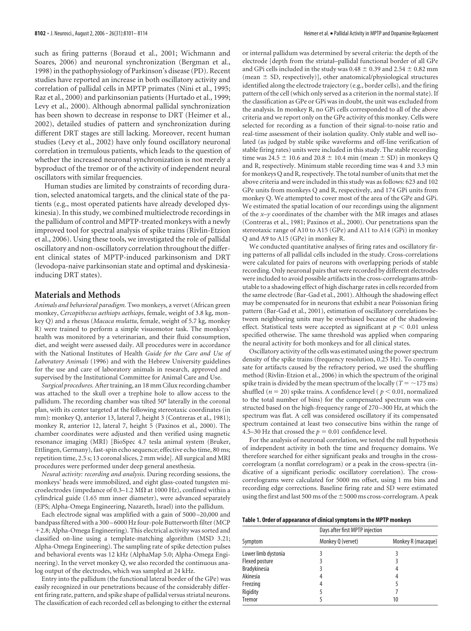such as firing patterns (Boraud et al., 2001; Wichmann and Soares, 2006) and neuronal synchronization (Bergman et al., 1998) in the pathophysiology of Parkinson's disease (PD). Recent studies have reported an increase in both oscillatory activity and correlation of pallidal cells in MPTP primates (Nini et al., 1995; Raz et al., 2000) and parkinsonian patients (Hurtado et al., 1999; Levy et al., 2000). Although abnormal pallidal synchronization has been shown to decrease in response to DRT (Heimer et al., 2002), detailed studies of pattern and synchronization during different DRT stages are still lacking. Moreover, recent human studies (Levy et al., 2002) have only found oscillatory neuronal correlation in tremulous patients, which leads to the question of whether the increased neuronal synchronization is not merely a byproduct of the tremor or of the activity of independent neural oscillators with similar frequencies.

Human studies are limited by constraints of recording duration, selected anatomical targets, and the clinical state of the patients (e.g., most operated patients have already developed dyskinesia). In this study, we combined multielectrode recordings in the pallidum of control and MPTP-treated monkeys with a newly improved tool for spectral analysis of spike trains (Rivlin-Etzion et al., 2006). Using these tools, we investigated the role of pallidal oscillatory and non-oscillatory correlation throughout the different clinical states of MPTP-induced parkinsonism and DRT (levodopa-naive parkinsonian state and optimal and dyskinesiainducing DRT states).

# **Materials and Methods**

*Animals and behavioral paradigm.* Two monkeys, a vervet (African green monkey, *Cercopithecus aethiops aethiops*, female, weight of 3.8 kg, monkey Q) and a rhesus (*Macaca mulatta*, female, weight of 5.7 kg, monkey R) were trained to perform a simple visuomotor task. The monkeys' health was monitored by a veterinarian, and their fluid consumption, diet, and weight were assessed daily. All procedures were in accordance with the National Institutes of Health *Guide for the Care and Use of Laboratory Animals* (1996) and with the Hebrew University guidelines for the use and care of laboratory animals in research, approved and supervised by the Institutional Committee for Animal Care and Use.

*Surgical procedures.* After training, an 18 mm Cilux recording chamber was attached to the skull over a trephine hole to allow access to the pallidum. The recording chamber was tilted 50° laterally in the coronal plan, with its center targeted at the following stereotaxic coordinates (in mm): monkey Q, anterior 13, lateral 7, height 3 (Contreras et al., 1981); monkey R, anterior 12, lateral 7, height 5 (Paxinos et al., 2000). The chamber coordinates were adjusted and then verified using magnetic resonance imaging (MRI) [BioSpec 4.7 tesla animal system (Bruker, Ettlingen, Germany), fast-spin echo sequence; effective echo time, 80 ms; repetition time, 2.5 s; 13 coronal slices, 2 mm wide]. All surgical and MRI procedures were performed under deep general anesthesia.

*Neural activity: recording and analysis.* During recording sessions, the monkeys' heads were immobilized, and eight glass-coated tungsten microelectrodes (impedance of  $0.3-1.2$  M $\Omega$  at 1000 Hz), confined within a cylindrical guide (1.65 mm inner diameter), were advanced separately (EPS; Alpha-Omega Engineering, Nazareth, Israel) into the pallidum.

Each electrode signal was amplified with a gain of 5000 –20,000 and bandpass filtered with a 300 – 6000 Hz four-pole Butterworth filter (MCP -2.8; Alpha-Omega Engineering). This electrical activity was sorted and classified on-line using a template-matching algorithm (MSD 3.21; Alpha-Omega Engineering). The sampling rate of spike detection pulses and behavioral events was 12 kHz (AlphaMap 5.0; Alpha-Omega Engineering). In the vervet monkey Q, we also recorded the continuous analog output of the electrodes, which was sampled at 24 kHz.

Entry into the pallidum (the functional lateral border of the GPe) was easily recognized in our penetrations because of the considerably different firing rate, pattern, and spike shape of pallidal versus striatal neurons. The classification of each recorded cell as belonging to either the external

or internal pallidum was determined by several criteria: the depth of the electrode [depth from the striatal–pallidal functional border of all GPe and GPi cells included in the study was 0.48  $\pm$  0.39 and 2.54  $\pm$  0.82 mm (mean  $\pm$  SD, respectively)], other anatomical/physiological structures identified along the electrode trajectory (e.g., border cells), and the firing pattern of the cell (which only served as a criterion in the normal state). If the classification as GPe or GPi was in doubt, the unit was excluded from the analysis. In monkey R, no GPi cells corresponded to all of the above criteria and we report only on the GPe activity of this monkey. Cells were selected for recording as a function of their signal-to-noise ratio and real-time assessment of their isolation quality. Only stable and well isolated (as judged by stable spike waveforms and off-line verification of stable firing rates) units were included in this study. The stable recording time was 24.5  $\pm$  10.6 and 20.8  $\pm$  10.4 min (mean  $\pm$  SD) in monkeys Q and R, respectively. Minimum stable recording time was 4 and 3.3 min for monkeys Q and R, respectively. The total number of units that met the above criteria and were included in this study was as follows: 623 and 102 GPe units from monkeys Q and R, respectively, and 174 GPi units from monkey Q. We attempted to cover most of the area of the GPe and GPi. We estimated the spatial location of our recordings using the alignment of the *x–y* coordinates of the chamber with the MR images and atlases (Contreras et al., 1981; Paxinos et al., 2000). Our penetrations span the stereotaxic range of A10 to A15 (GPe) and A11 to A14 (GPi) in monkey Q and A9 to A15 (GPe) in monkey R.

We conducted quantitative analyses of firing rates and oscillatory firing patterns of all pallidal cells included in the study. Cross-correlations were calculated for pairs of neurons with overlapping periods of stable recording. Only neuronal pairs that were recorded by different electrodes were included to avoid possible artifacts in the cross-correlograms attributable to a shadowing effect of high discharge rates in cells recorded from the same electrode (Bar-Gad et al., 2001). Although the shadowing effect may be compensated for in neurons that exhibit a near Poissonian firing pattern (Bar-Gad et al., 2001), estimation of oscillatory correlations between neighboring units may be overbiased because of the shadowing effect. Statistical tests were accepted as significant at  $p < 0.01$  unless specified otherwise. The same threshold was applied when comparing the neural activity for both monkeys and for all clinical states.

Oscillatory activity of the cells was estimated using the power spectrum density of the spike trains (frequency resolution, 0.25 Hz). To compensate for artifacts caused by the refractory period, we used the shuffling method (Rivlin-Etzion et al., 2006) in which the spectrum of the original spike train is divided by the mean spectrum of the locally ( $T = \sim$ 175 ms) shuffled ( $n = 20$ ) spike trains. A confidence level ( $p < 0.01$ , normalized to the total number of bins) for the compensated spectrum was constructed based on the high-frequency range of 270 –300 Hz, at which the spectrum was flat. A cell was considered oscillatory if its compensated spectrum contained at least two consecutive bins within the range of 4.5–30 Hz that crossed the  $p = 0.01$  confidence level.

For the analysis of neuronal correlation, we tested the null hypothesis of independent activity in both the time and frequency domains. We therefore searched for either significant peaks and troughs in the crosscorrelogram (a nonflat correlogram) or a peak in the cross-spectra (indicative of a significant periodic oscillatory correlation). The crosscorrelograms were calculated for 5000 ms offset, using 1 ms bins and recording edge corrections. Baseline firing rate and SD were estimated using the first and last 500 ms of the  $\pm$ 5000 ms cross-correlogram. A peak

**Table 1. Order of appearance of clinical symptoms in the MPTP monkeys**

|                     | Days after first MPTP injection |                    |  |  |
|---------------------|---------------------------------|--------------------|--|--|
| Symptom             | Monkey Q (vervet)               | Monkey R (macaque) |  |  |
| Lower limb dystonia |                                 |                    |  |  |
| Flexed posture      |                                 |                    |  |  |
| <b>Bradykinesia</b> |                                 |                    |  |  |
| Akinesia            | 4                               |                    |  |  |
| Freezing            | 4                               |                    |  |  |
| Rigidity            |                                 |                    |  |  |
| <b>Tremor</b>       |                                 | 10                 |  |  |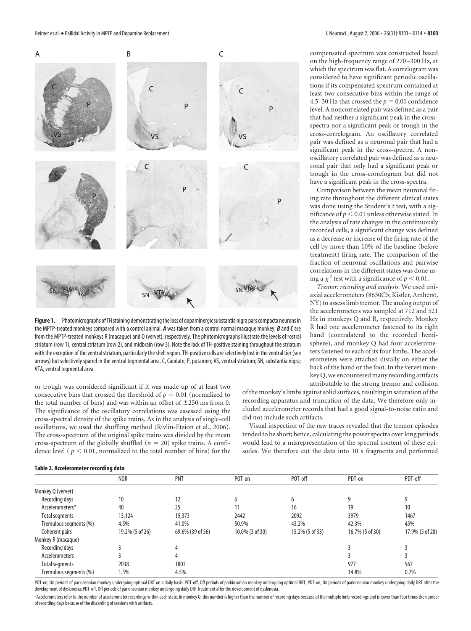

Figure 1. Photomicrographs of TH staining demonstrating the loss of dopaminergic substantia nigra pars compacta neurons in the MPTP-treated monkeys compared with a control animal. *A* was taken from a control normal macaque monkey; *B* and*C*are from the MPTP-treated monkeys R (macaque) and Q (vervet), respectively. The photomicrographs illustrate the levels of rostral striatum (row 1), central striatum (row 2), and midbrain (row 3). Note the lack of TH-positive staining throughout the striatum with the exception of the ventral striatum, particularly the shell region. TH-positive cells are selectively lost in the ventral tier (see arrows) but selectively spared in the ventral tegmental area. C, Caudate; P, putamen; VS, ventral striatum; SN, substantia nigra; VTA, ventral tegmental area.

or trough was considered significant if it was made up of at least two consecutive bins that crossed the threshold of  $p = 0.01$  (normalized to the total number of bins) and was within an offset of  $\pm 250$  ms from 0. The significance of the oscillatory correlations was assessed using the cross-spectral density of the spike trains. As in the analysis of single-cell oscillations, we used the shuffling method (Rivlin-Etzion et al., 2006). The cross-spectrum of the original spike trains was divided by the mean cross-spectrum of the globally shuffled ( $n = 20$ ) spike trains. A confidence level ( $p < 0.01$ , normalized to the total number of bins) for the

#### **Table 2. Accelerometer recording data**

Heimer et al. • Pallidal Activity in MPTP and Dopamine Replacement **J. Neurosci., August 2, 2006 • 26(31):8101** – 8114 • **8103** 

compensated spectrum was constructed based on the high-frequency range of 270 –300 Hz, at which the spectrum was flat. A correlogram was considered to have significant periodic oscillations if its compensated spectrum contained at least two consecutive bins within the range of 4.5–30 Hz that crossed the  $p = 0.01$  confidence level. A noncorrelated pair was defined as a pair that had neither a significant peak in the crossspectra nor a significant peak or trough in the cross-correlogram. An oscillatory correlated pair was defined as a neuronal pair that had a significant peak in the cross-spectra. A nonoscillatory correlated pair was defined as a neuronal pair that only had a significant peak or trough in the cross-correlogram but did not have a significant peak in the cross-spectra.

Comparison between the mean neuronal firing rate throughout the different clinical states was done using the Student's *t* test, with a significance of  $p < 0.01$  unless otherwise stated. In the analysis of rate changes in the continuously recorded cells, a significant change was defined as a decrease or increase of the firing rate of the cell by more than 10% of the baseline (before treatment) firing rate. The comparison of the fraction of neuronal oscillations and pairwise correlations in the different states was done using a  $\chi^2$  test with a significance of  $p < 0.01$ .

*Tremor: recording and analysis.* We used uniaxial accelerometers (8630C5; Kistler, Amherst, NY) to assess limb tremor. The analog output of the accelerometers was sampled at 712 and 521 Hz in monkeys Q and R, respectively. Monkey R had one accelerometer fastened to its right hand (contralateral to the recorded hemisphere), and monkey Q had four accelerometers fastened to each of its four limbs. The accelerometers were attached distally on either the back of the hand or the foot. In the vervet monkey Q, we encountered many recording artifacts attributable to the strong tremor and collision

of the monkey's limbs against solid surfaces, resulting in saturation of the recording apparatus and truncation of the data. We therefore only included accelerometer records that had a good signal-to-noise ratio and did not include such artifacts.

Visual inspection of the raw traces revealed that the tremor episodes tended to be short; hence, calculating the power spectra over long periods would lead to a misrepresentation of the spectral content of these episodes. We therefore cut the data into 10 s fragments and performed

|                             | <b>NOR</b>      | PNT              | POT-on             | POT-off         | PDT-on          | PDT-off         |
|-----------------------------|-----------------|------------------|--------------------|-----------------|-----------------|-----------------|
| Monkey Q (vervet)           |                 |                  |                    |                 |                 |                 |
| Recording days              | 10              | 12               | 6                  | 6               | 9               | 9               |
| Accelerometers <sup>a</sup> | 40              | 25               | 11                 | 16              | 19              | 10 <sup>°</sup> |
| Total segments              | 13,124          | 15,373           | 2442               | 2092            | 3979            | 1467            |
| Tremulous segments (%)      | 4.5%            | 41.0%            | 50.9%              | 43.2%           | 42.3%           | 45%             |
| Coherent pairs              | 19.2% (5 of 26) | 69.6% (39 of 56) | $10.0\%$ (3 of 30) | 15.2% (5 of 33) | 16.7% (5 of 30) | 17.9% (5 of 28) |
| Monkey R (macaque)          |                 |                  |                    |                 |                 |                 |
| Recording days              |                 | 4                |                    |                 |                 |                 |
| Accelerometers              |                 |                  |                    |                 |                 |                 |
| Total segments              | 2038            | 1807             |                    |                 | 977             | 567             |
| Tremulous segments (%)      | 1.3%            | 4.5%             |                    |                 | 14.8%           | 0.7%            |
|                             |                 |                  |                    |                 |                 |                 |

POT-on, On periods of parkinsonian monkey undergoing optimal DRT on a daily basis; POT-off, Off periods of parkinsonian monkey undergoing optimal DRT; PDT-on, On periods of parkinsonian monkey undergoing daily DRT after th development of dyskinesia; PDT-off, Off periods of parkinsonian monkey undergoing daily DRT treatment after the development of dyskinesia.

"Accelerometers refer to the number of accelerometer recordings within each state. In monkey Q, this number is higher than the number of recording days because of the multiple limb recordings and is lower than four times t of recording days because of the discarding of sessions with artifacts.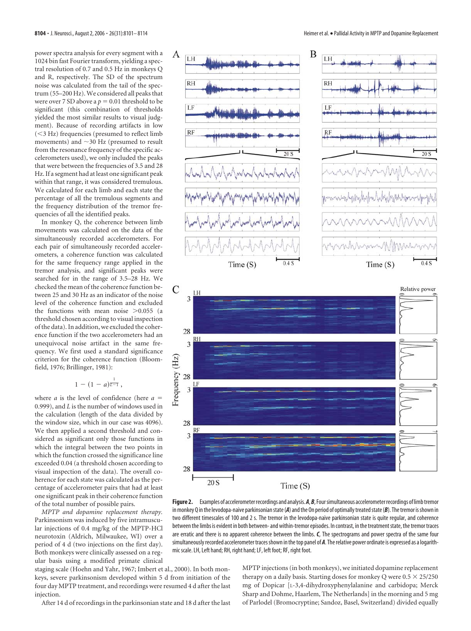A

power spectra analysis for every segment with a 1024 bin fast Fourier transform, yielding a spectral resolution of 0.7 and 0.5 Hz in monkeys Q and R, respectively. The SD of the spectrum noise was calculated from the tail of the spectrum (55–200 Hz). We considered all peaks that were over 7 SD above a  $p = 0.01$  threshold to be significant (this combination of thresholds yielded the most similar results to visual judgment). Because of recording artifacts in low (3 Hz) frequencies (presumed to reflect limb movements) and  $\sim$  30 Hz (presumed to result from the resonance frequency of the specific accelerometers used), we only included the peaks that were between the frequencies of 3.5 and 28 Hz. If a segment had at least one significant peak within that range, it was considered tremulous. We calculated for each limb and each state the percentage of all the tremulous segments and the frequency distribution of the tremor frequencies of all the identified peaks.

In monkey Q, the coherence between limb movements was calculated on the data of the simultaneously recorded accelerometers. For each pair of simultaneously recorded accelerometers, a coherence function was calculated for the same frequency range applied in the tremor analysis, and significant peaks were searched for in the range of 3.5–28 Hz. We checked the mean of the coherence function between 25 and 30 Hz as an indicator of the noise level of the coherence function and excluded the functions with mean noise  $>0.055$  (a threshold chosen according to visual inspection of the data). In addition, we excluded the coherence function if the two accelerometers had an unequivocal noise artifact in the same frequency. We first used a standard significance criterion for the coherence function (Bloomfield, 1976; Brillinger, 1981):

$$
1-(1-a)^{\frac{1}{L-1}},
$$

where *a* is the level of confidence (here *a* 0.999), and *L* is the number of windows used in the calculation (length of the data divided by the window size, which in our case was 4096). We then applied a second threshold and considered as significant only those functions in which the integral between the two points in which the function crossed the significance line exceeded 0.04 (a threshold chosen according to visual inspection of the data). The overall coherence for each state was calculated as the percentage of accelerometer pairs that had at least one significant peak in their coherence function of the total number of possible pairs.

*MPTP and dopamine replacement therapy.* Parkinsonism was induced by five intramuscular injections of 0.4 mg/kg of the MPTP-HCl neurotoxin (Aldrich, Milwaukee, WI) over a period of 4 d (two injections on the first day). Both monkeys were clinically assessed on a regular basis using a modified primate clinical

staging scale (Hoehn and Yahr, 1967; Imbert et al., 2000). In both monkeys, severe parkinsonism developed within 5 d from initiation of the four day MPTP treatment, and recordings were resumed 4 d after the last injection.

After 14 d of recordings in the parkinsonian state and 18 d after the last







Figure 2. Examples of accelerometer recordings and analysis. A, B, Four simultaneous accelerometer recordings of limb tremor in monkey Q in the levodopa-naive parkinsonian state (A) and the On period of optimally treated state (B). The tremor is shown in two different timescales of 100 and 2 s. The tremor in the levodopa-naive parkinsonian state is quite regular, and coherence between the limbs is evident in both between- and within-tremor episodes. In contrast, in the treatment state, the tremor traces are erratic and there is no apparent coherence between the limbs. *C*, The spectrograms and power spectra of the same four simultaneously recorded accelerometer traces shown in the top panel of *A*. The relative power ordinate is expressed as a logarithmic scale. LH, Left hand; RH, right hand; LF, left foot; RF, right foot.

MPTP injections (in both monkeys), we initiated dopamine replacement therapy on a daily basis. Starting doses for monkey Q were  $0.5 \times 25/250$ mg of Dopicar [L-3,4-dihydroxyphenylalanine and carbidopa; Merck Sharp and Dohme, Haarlem, The Netherlands] in the morning and 5 mg of Parlodel (Bromocryptine; Sandoz, Basel, Switzerland) divided equally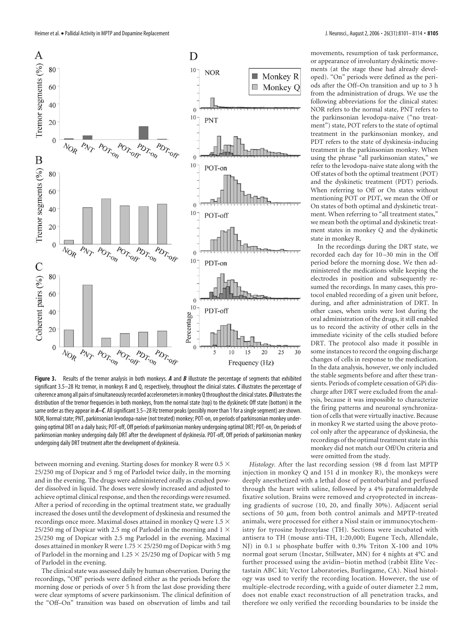

**Figure 3.** Results of the tremor analysis in both monkeys. *A* and *B* illustrate the percentage of segments that exhibited significant 3.5–28 Hz tremor, in monkeys R and Q, respectively, throughout the clinical states. *C* illustrates the percentage of coherence among all pairs of simultaneously recorded accelerometers in monkey Q throughout the clinical states. **D** illustrates the distribution of the tremor frequencies in both monkeys, from the normal state (top) to the dyskinetic Off state (bottom) in the same order as they appear in  $A-C$ . All significant 3.5–28 Hz tremor peaks (possibly more than 1 for a single segment) are shown. NOR, Normal state; PNT, parkinsonian levodopa-naive (not treated) monkey; POT-on, on periods of parkinsonian monkey undergoing optimal DRT on a daily basis; POT-off, Off periods of parkinsonian monkey undergoing optimal DRT; PDT-on, On periods of parkinsonian monkey undergoing daily DRT after the development of dyskinesia. PDT-off, Off periods of parkinsonian monkey undergoing daily DRT treatment after the development of dyskinesia.

between morning and evening. Starting doses for monkey R were 0.5  $\times$ 25/250 mg of Dopicar and 5 mg of Parlodel twice daily, in the morning and in the evening. The drugs were administered orally as crushed powder dissolved in liquid. The doses were slowly increased and adjusted to achieve optimal clinical response, and then the recordings were resumed. After a period of recording in the optimal treatment state, we gradually increased the doses until the development of dyskinesia and resumed the recordings once more. Maximal doses attained in monkey Q were 1.5 25/250 mg of Dopicar with 2.5 mg of Parlodel in the morning and  $1 \times$ 25/250 mg of Dopicar with 2.5 mg Parlodel in the evening. Maximal doses attained in monkey R were  $1.75 \times 25/250$  mg of Dopicar with 5 mg of Parlodel in the morning and  $1.25 \times 25/250$  mg of Dopicar with 5 mg of Parlodel in the evening.

The clinical state was assessed daily by human observation. During the recordings, "Off" periods were defined either as the periods before the morning dose or periods of over 5 h from the last dose providing there were clear symptoms of severe parkinsonism. The clinical definition of the "Off–On" transition was based on observation of limbs and tail

movements, resumption of task performance, or appearance of involuntary dyskinetic movements (at the stage these had already developed). "On" periods were defined as the periods after the Off–On transition and up to 3 h from the administration of drugs. We use the following abbreviations for the clinical states: NOR refers to the normal state, PNT refers to the parkinsonian levodopa-naive ("no treatment") state, POT refers to the state of optimal treatment in the parkinsonian monkey, and PDT refers to the state of dyskinesia-inducing treatment in the parkinsonian monkey. When using the phrase "all parkinsonian states," we refer to the levodopa-naive state along with the Off states of both the optimal treatment (POT) and the dyskinetic treatment (PDT) periods. When referring to Off or On states without mentioning POT or PDT, we mean the Off or On states of both optimal and dyskinetic treatment. When referring to "all treatment states," we mean both the optimal and dyskinetic treatment states in monkey Q and the dyskinetic state in monkey R.

In the recordings during the DRT state, we recorded each day for 10 –30 min in the Off period before the morning dose. We then administered the medications while keeping the electrodes in position and subsequently resumed the recordings. In many cases, this protocol enabled recording of a given unit before, during, and after administration of DRT. In other cases, when units were lost during the oral administration of the drugs, it still enabled us to record the activity of other cells in the immediate vicinity of the cells studied before DRT. The protocol also made it possible in some instances to record the ongoing discharge changes of cells in response to the medication. In the data analysis, however, we only included the stable segments before and after these transients. Periods of complete cessation of GPi discharge after DRT were excluded from the analysis, because it was impossible to characterize the firing patterns and neuronal synchronization of cells that were virtually inactive. Because in monkey R we started using the above protocol only after the appearance of dyskinesia, the recordings of the optimal treatment state in this monkey did not match our Off/On criteria and were omitted from the study.

*Histology.* After the last recording session (98 d from last MPTP injection in monkey Q and 151 d in monkey R), the monkeys were deeply anesthetized with a lethal dose of pentobarbital and perfused through the heart with saline, followed by a 4% paraformaldehyde fixative solution. Brains were removed and cryoprotected in increasing gradients of sucrose (10, 20, and finally 30%). Adjacent serial sections of 50  $\mu$ m, from both control animals and MPTP-treated animals, were processed for either a Nissl stain or immunocytochemistry for tyrosine hydroxylase (TH). Sections were incubated with antisera to TH (mouse anti-TH, 1:20,000; Eugene Tech, Allendale, NJ) in 0.1 M phosphate buffer with 0.3% Triton X-100 and 10% normal goat serum (Incstar, Stillwater, MN) for 4 nights at 4°C and further processed using the avidin– biotin method (rabbit Elite Vectastain ABC kit; Vector Laboratories, Burlingame, CA). Nissl histology was used to verify the recording location. However, the use of multiple-electrode recording, with a guide of outer diameter 2.2 mm, does not enable exact reconstruction of all penetration tracks, and therefore we only verified the recording boundaries to be inside the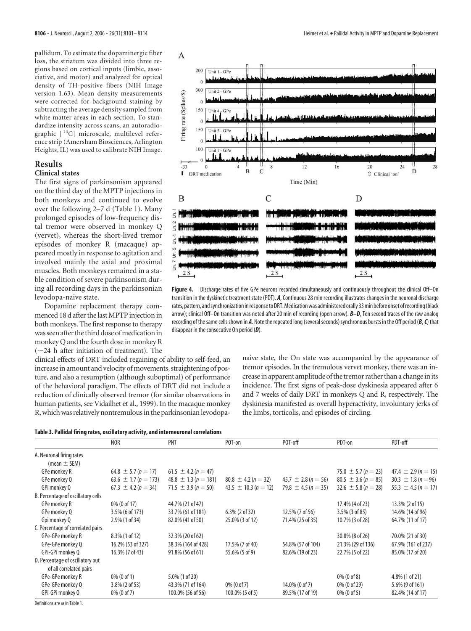pallidum. To estimate the dopaminergic fiber loss, the striatum was divided into three regions based on cortical inputs (limbic, associative, and motor) and analyzed for optical density of TH-positive fibers (NIH Image version 1.63). Mean density measurements were corrected for background staining by subtracting the average density sampled from white matter areas in each section. To standardize intensity across scans, an autoradiographic [ 14C] microscale, multilevel reference strip (Amersham Biosciences, Arlington Heights, IL) was used to calibrate NIH Image.

# **Results**

# **Clinical states**

The first signs of parkinsonism appeared on the third day of the MPTP injections in both monkeys and continued to evolve over the following 2–7 d (Table 1). Many prolonged episodes of low-frequency distal tremor were observed in monkey Q (vervet), whereas the short-lived tremor episodes of monkey R (macaque) appeared mostly in response to agitation and involved mainly the axial and proximal muscles. Both monkeys remained in a stable condition of severe parkinsonism during all recording days in the parkinsonian levodopa-naive state.

Dopamine replacement therapy commenced 18 d after the last MPTP injection in both monkeys. The first response to therapy was seen after the third dose of medication in monkey Q and the fourth dose in monkey R  $(\sim 24$  h after initiation of treatment). The

clinical effects of DRT included regaining of ability to self-feed, an increase in amount and velocity of movements, straightening of posture, and also a resumption (although suboptimal) of performance of the behavioral paradigm. The effects of DRT did not include a reduction of clinically observed tremor (for similar observations in human patients, see Vidailhet et al., 1999). In the macaque monkey R, which was relatively nontremulous in the parkinsonian levodopa-





**Figure 4.** Discharge rates of five GPe neurons recorded simultaneously and continuously throughout the clinical Off–On transition in the dyskinetic treatment state (PDT). *A*, Continuous 28 min recording illustrates changes in the neuronal discharge rates, pattern, and synchronization in response to DRT. Medication was administered orally 33 min before onset of recording (black arrow); clinical Off–On transition was noted after 20 min of recording (open arrow). *B–D*, Ten second traces of the raw analog recording of the same cells shown in *A*. Note the repeated long (several seconds) synchronous bursts in the Off period (*B*,*C*) that disappear in the consecutive On period (*D*).

naive state, the On state was accompanied by the appearance of tremor episodes. In the tremulous vervet monkey, there was an increase in apparent amplitude of the tremor rather than a change in its incidence. The first signs of peak-dose dyskinesia appeared after 6 and 7 weeks of daily DRT in monkeys Q and R, respectively. The dyskinesia manifested as overall hyperactivity, involuntary jerks of the limbs, torticolis, and episodes of circling.

|                                    | <b>NOR</b>               | <b>PNT</b>               | POT-on                   | POT-off                 | PDT-on                  | PDT-off                 |
|------------------------------------|--------------------------|--------------------------|--------------------------|-------------------------|-------------------------|-------------------------|
| A. Neuronal firing rates           |                          |                          |                          |                         |                         |                         |
| (mean $\pm$ SEM)                   |                          |                          |                          |                         |                         |                         |
| GPe monkey R                       | $64.8 \pm 5.7 (n = 17)$  | $61.5 \pm 4.2 (n = 47)$  |                          |                         | $75.0 \pm 5.7 (n = 23)$ | $47.4 \pm 2.9 (n = 15)$ |
| GPe monkey Q                       | $63.6 \pm 1.7 (n = 173)$ | $48.8 \pm 1.3 (n = 181)$ | $80.8 \pm 4.2 (n = 32)$  | $45.7 \pm 2.8 (n = 56)$ | $80.5 \pm 3.6 (n = 85)$ | $30.3 \pm 1.8$ (n = 96) |
| GPi monkey Q                       | $67.3 \pm 4.2 (n = 34)$  | $71.5 \pm 3.9 (n = 50)$  | $43.5 \pm 10.3 (n = 12)$ | 79.8 $\pm$ 4.5 (n = 35) | $32.6 \pm 5.8 (n = 28)$ | $55.3 \pm 4.5 (n = 17)$ |
| B. Percentage of oscillatory cells |                          |                          |                          |                         |                         |                         |
| GPe monkey R                       | $0\%$ (0 of 17)          | 44.7% (21 of 47)         |                          |                         | 17.4% (4 of 23)         | 13.3% (2 of 15)         |
| GPe monkey Q                       | 3.5% (6 of 173)          | 33.7% (61 of 181)        | $6.3\%$ (2 of 32)        | 12.5% (7 of 56)         | 3.5% (3 of 85)          | 14.6% (14 of 96)        |
| Gpi monkey Q                       | $2.9\%$ (1 of 34)        | 82.0% (41 of 50)         | 25.0% (3 of 12)          | 71.4% (25 of 35)        | 10.7% (3 of 28)         | 64.7% (11 of 17)        |
| C. Percentage of correlated pairs  |                          |                          |                          |                         |                         |                         |
| GPe-GPe monkey R                   | $8.3\%$ (1 of 12)        | 32.3% (20 of 62)         |                          |                         | 30.8% (8 of 26)         | 70.0% (21 of 30)        |
| GPe-GPe monkey Q                   | 16.2% (53 of 327)        | 38.3% (164 of 428)       | 17.5% (7 of 40)          | 54.8% (57 of 104)       | 21.3% (29 of 136)       | 67.9% (161 of 237)      |
| GPi-GPi monkey Q                   | 16.3% (7 of 43)          | 91.8% (56 of 61)         | 55.6% (5 of 9)           | 82.6% (19 of 23)        | 22.7% (5 of 22)         | 85.0% (17 of 20)        |
| D. Percentage of oscillatory out   |                          |                          |                          |                         |                         |                         |
| of all correlated pairs            |                          |                          |                          |                         |                         |                         |
| GPe-GPe monkey R                   | $0\%$ (0 of 1)           | 5.0% (1 of 20)           |                          |                         | $0\%$ (0 of 8)          | $4.8\%$ (1 of 21)       |
| GPe-GPe monkey Q                   | $3.8\%$ (2 of 53)        | 43.3% (71 of 164)        | $0\%$ (0 of 7)           | 14.0% (0 of 7)          | $0\%$ (0 of 29)         | $5.6\%$ (9 of 161)      |
| GPi-GPi monkey Q                   | $0\%$ (0 of 7)           | 100.0% (56 of 56)        | 100.0% (5 of 5)          | 89.5% (17 of 19)        | $0\%$ (0 of 5)          | 82.4% (14 of 17)        |

Definitions are as in Table 1.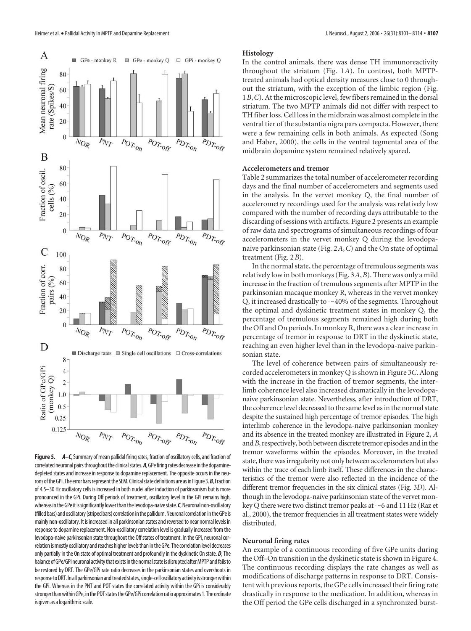

Figure 5. *A–C*, Summary of mean pallidal firing rates, fraction of oscillatory cells, and fraction of correlated neuronal pairs throughout the clinical states. A, GPe firing rates decrease in the dopaminedepleted states and increase in response to dopamine replacement. The opposite occurs in the neurons of the GPi. The error bars represent the SEM. Clinical state definitions are as in Figure 3. B, Fraction of 4.5–30 Hz oscillatory cells is increased in both nuclei after induction of parkinsonism but is more pronounced in the GPi. During Off periods of treatment, oscillatory level in the GPi remains high, whereas in the GPe it is significantly lower than the levodopa-naive state. C, Neuronal non-oscillatory (filled bars) and oscillatory (striped bars) correlation in the pallidum. Neuronal correlation in the GPe is mainly non-oscillatory. It is increased in all parkinsonian states and reversed to near normal levels in response to dopamine replacement. Non-oscillatory correlation level is gradually increased from the levodopa-naive parkinsonian state throughout the Off states of treatment. In the GPi, neuronal correlation is mostly oscillatory and reaches higher levels than in the GPe. The correlation level decreases only partially in the On state of optimal treatment and profoundly in the dyskinetic On state. *D*, The balance of GPe/GPineuronal activity that exists in the normal state is disrupted after MPTP and fails to be restored by DRT. The GPe/GPi rate ratio decreases in the parkinsonian states and overshoots in response to DRT. In all parkinsonian and treated states, single-cell oscillatory activity is stronger within the GPi. Whereas in the PNT and POT states the correlated activity within the GPi is considerably stronger than within GPe, in the PDT states the GPe/GPi correlation ratio approximates 1. The ordinate is given as a logarithmic scale.

#### **Histology**

In the control animals, there was dense TH immunoreactivity throughout the striatum (Fig. 1*A*). In contrast, both MPTPtreated animals had optical density measures close to 0 throughout the striatum, with the exception of the limbic region (Fig. 1*B*,*C*). At the microscopic level, few fibers remained in the dorsal striatum. The two MPTP animals did not differ with respect to TH fiber loss. Cell loss in the midbrain was almost complete in the ventral tier of the substantia nigra pars compacta. However, there were a few remaining cells in both animals. As expected (Song and Haber, 2000), the cells in the ventral tegmental area of the midbrain dopamine system remained relatively spared.

#### **Accelerometers and tremor**

Table 2 summarizes the total number of accelerometer recording days and the final number of accelerometers and segments used in the analysis. In the vervet monkey Q, the final number of accelerometry recordings used for the analysis was relatively low compared with the number of recording days attributable to the discarding of sessions with artifacts. Figure 2 presents an example of raw data and spectrograms of simultaneous recordings of four accelerometers in the vervet monkey Q during the levodopanaive parkinsonian state (Fig. 2*A*,*C*) and the On state of optimal treatment (Fig. 2*B*).

In the normal state, the percentage of tremulous segments was relatively low in both monkeys (Fig. 3*A*,*B*). There was only a mild increase in the fraction of tremulous segments after MPTP in the parkinsonian macaque monkey R, whereas in the vervet monkey Q, it increased drastically to  $\sim$  40% of the segments. Throughout the optimal and dyskinetic treatment states in monkey Q, the percentage of tremulous segments remained high during both the Off and On periods. In monkey R, there was a clear increase in percentage of tremor in response to DRT in the dyskinetic state, reaching an even higher level than in the levodopa-naive parkinsonian state.

The level of coherence between pairs of simultaneously recorded accelerometers in monkey Q is shown in Figure 3*C*. Along with the increase in the fraction of tremor segments, the interlimb coherence level also increased dramatically in the levodopanaive parkinsonian state. Nevertheless, after introduction of DRT, the coherence level decreased to the same level as in the normal state despite the sustained high percentage of tremor episodes. The high interlimb coherence in the levodopa-naive parkinsonian monkey and its absence in the treated monkey are illustrated in Figure 2, *A* and *B*, respectively, both between discrete tremor episodes and in the tremor waveforms within the episodes. Moreover, in the treated state, there was irregularity not only between accelerometers but also within the trace of each limb itself. These differences in the characteristics of the tremor were also reflected in the incidence of the different tremor frequencies in the six clinical states (Fig. 3*D*). Although in the levodopa-naive parkinsonian state of the vervet monkey Q there were two distinct tremor peaks at  $\sim$  6 and 11 Hz (Raz et al., 2000), the tremor frequencies in all treatment states were widely distributed.

#### **Neuronal firing rates**

An example of a continuous recording of five GPe units during the Off–On transition in the dyskinetic state is shown in Figure 4. The continuous recording displays the rate changes as well as modifications of discharge patterns in response to DRT. Consistent with previous reports, the GPe cells increased their firing rate drastically in response to the medication. In addition, whereas in the Off period the GPe cells discharged in a synchronized burst-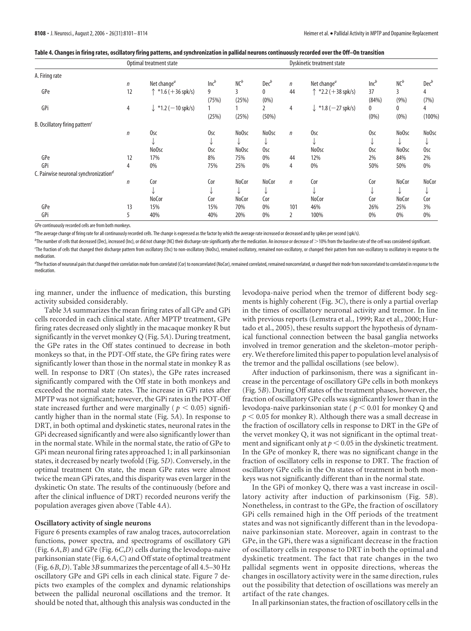|  |  | Table 4. Changes in firing rates, oscillatory firing patterns, and synchronization in pallidal neurons continuously recorded over the Off–On transition |  |
|--|--|---------------------------------------------------------------------------------------------------------------------------------------------------------|--|
|  |  |                                                                                                                                                         |  |

|                                                   | Optimal treatment state |                                      |                  |                   | Dyskinetic treatment state |              |                               |                 |                   |                 |  |
|---------------------------------------------------|-------------------------|--------------------------------------|------------------|-------------------|----------------------------|--------------|-------------------------------|-----------------|-------------------|-----------------|--|
| A. Firing rate                                    |                         |                                      |                  |                   |                            |              |                               |                 |                   |                 |  |
|                                                   | $\boldsymbol{n}$        | Net change <sup><math>a</math></sup> | Inc <sup>b</sup> | NC <sup>b</sup>   | $Dec^b$                    | $\mathsf{n}$ | Net change <sup>a</sup>       | $Inc^b$         | NC <sup>b</sup>   | $Dec^b$         |  |
| GPe                                               | 12                      | $\uparrow$ *1.6 (+36 spk/s)          | 9                | 3                 | 0                          | 44           | $\uparrow$ *2.2 (+38 spk/s)   | 37              | 3                 | 4               |  |
|                                                   |                         |                                      | (75%)            | (25%)             | (0% )                      |              |                               | (84%)           | (9% )             | (7%)            |  |
| GPi                                               | 4                       | $\downarrow$ *1.2 (-10 spk/s)        |                  |                   | 2                          | 4            | $\downarrow$ *1.8 (-27 spk/s) | 0               | 0                 | 4               |  |
|                                                   |                         |                                      | (25%)            | (25%)             | (50%)                      |              |                               | $(0\%)$         | (0% )             | $(100\%)$       |  |
| B. Oscillatory firing pattern <sup>c</sup>        |                         |                                      |                  |                   |                            |              |                               |                 |                   |                 |  |
|                                                   | $\eta$                  | Osc                                  | Osc              | No <sub>Osc</sub> | NoOsc                      | $\mathsf{n}$ | Osc                           | O <sub>SC</sub> | No0sc             | No0sc           |  |
|                                                   |                         |                                      | V                |                   | V                          |              |                               | ↓               |                   | V               |  |
|                                                   |                         | No <sub>Osc</sub>                    | Osc              | No <sub>Osc</sub> | Osc                        |              | No0sc                         | O <sub>SC</sub> | No <sub>Osc</sub> | O <sub>SC</sub> |  |
| GPe                                               | 12                      | 17%                                  | 8%               | 75%               | 0%                         | 44           | 12%                           | 2%              | 84%               | 2%              |  |
| GPi                                               | 4                       | 0%                                   | 75%              | 25%               | 0%                         | 4            | 0%                            | 50%             | 50%               | 0%              |  |
| C. Pairwise neuronal synchronization <sup>d</sup> |                         |                                      |                  |                   |                            |              |                               |                 |                   |                 |  |
|                                                   | $\eta$                  | Cor                                  | Cor              | NoCor             | NoCor                      | $\mathsf{n}$ | Cor                           | Cor             | NoCor             | NoCor           |  |
|                                                   |                         |                                      | V                |                   |                            |              |                               | ↓               |                   | ◡               |  |
|                                                   |                         | NoCor                                | Cor              | NoCor             | Cor                        |              | NoCor                         | Cor             | NoCor             | Cor             |  |
| GPe                                               | 13                      | 15%                                  | 15%              | 70%               | 0%                         | 101          | 46%                           | 26%             | 25%               | 3%              |  |
| GPi                                               | 5                       | 40%                                  | 40%              | 20%               | 0%                         | 2            | 100%                          | 0%              | 0%                | 0%              |  |

GPe continuously recorded cells are from both monkeys.

<sup>a</sup> The average change of firing rate for all continuously recorded cells. The change is expressed as the factor by which the average rate increased or decreased and by spikes per second (spk/s).

<sub>o</sub><br>The number of cells that decreased (Dec), increased (Inc), or did not change (NC) their discharge rate significantly after the medication. An increase or decrease of >10% from the baseline rate of the cell was conside The fraction of cells that changed their discharge pattern from oscillatory (Osc) to non-oscillatory (NoOsc), remained oscillatory, remained non-oscillatory, or changed their pattern from non-oscillatory to oscillatory in medication.

The fraction of neuronal pairs that changed their correlation mode from correlated (Cor) to noncorrelated (NoCor), remained correlated, remained noncorrelated, or changed their mode from noncorrelated to correlated in resp medication.

ing manner, under the influence of medication, this bursting activity subsided considerably.

Table 3*A* summarizes the mean firing rates of all GPe and GPi cells recorded in each clinical state. After MPTP treatment, GPe firing rates decreased only slightly in the macaque monkey R but significantly in the vervet monkey Q (Fig. 5*A*). During treatment, the GPe rates in the Off states continued to decrease in both monkeys so that, in the PDT-Off state, the GPe firing rates were significantly lower than those in the normal state in monkey R as well. In response to DRT (On states), the GPe rates increased significantly compared with the Off state in both monkeys and exceeded the normal state rates. The increase in GPi rates after MPTP was not significant; however, the GPi rates in the POT-Off state increased further and were marginally ( $p < 0.05$ ) significantly higher than in the normal state (Fig. 5*A*). In response to DRT, in both optimal and dyskinetic states, neuronal rates in the GPi decreased significantly and were also significantly lower than in the normal state. While in the normal state, the ratio of GPe to GPi mean neuronal firing rates approached 1; in all parkinsonian states, it decreased by nearly twofold (Fig. 5*D*). Conversely, in the optimal treatment On state, the mean GPe rates were almost twice the mean GPi rates, and this disparity was even larger in the dyskinetic On state. The results of the continuously (before and after the clinical influence of DRT) recorded neurons verify the population averages given above (Table 4*A*).

#### **Oscillatory activity of single neurons**

Figure 6 presents examples of raw analog traces, autocorrelation functions, power spectra, and spectrograms of oscillatory GPi (Fig. 6*A*,*B*) and GPe (Fig. 6*C*,*D*) cells during the levodopa-naive parkinsonian state (Fig. 6*A*,*C*) and Off state of optimal treatment (Fig. 6*B*,*D*). Table 3*B* summarizes the percentage of all 4.5–30 Hz oscillatory GPe and GPi cells in each clinical state. Figure 7 depicts two examples of the complex and dynamic relationships between the pallidal neuronal oscillations and the tremor. It should be noted that, although this analysis was conducted in the

levodopa-naive period when the tremor of different body segments is highly coherent (Fig. 3*C*), there is only a partial overlap in the times of oscillatory neuronal activity and tremor. In line with previous reports (Lemstra et al., 1999; Raz et al., 2000; Hurtado et al., 2005), these results support the hypothesis of dynamical functional connection between the basal ganglia networks involved in tremor generation and the skeleton–motor periphery.We therefore limited this paper to population level analysis of the tremor and the pallidal oscillations (see below).

After induction of parkinsonism, there was a significant increase in the percentage of oscillatory GPe cells in both monkeys (Fig. 5*B*). During Off states of the treatment phases, however, the fraction of oscillatory GPe cells was significantly lower than in the levodopa-naive parkinsonian state ( $p < 0.01$  for monkey Q and  $p < 0.05$  for monkey R). Although there was a small decrease in the fraction of oscillatory cells in response to DRT in the GPe of the vervet monkey Q, it was not significant in the optimal treatment and significant only at  $p < 0.05$  in the dyskinetic treatment. In the GPe of monkey R, there was no significant change in the fraction of oscillatory cells in response to DRT. The fraction of oscillatory GPe cells in the On states of treatment in both monkeys was not significantly different than in the normal state.

In the GPi of monkey Q, there was a vast increase in oscillatory activity after induction of parkinsonism (Fig. 5*B*). Nonetheless, in contrast to the GPe, the fraction of oscillatory GPi cells remained high in the Off periods of the treatment states and was not significantly different than in the levodopanaive parkinsonian state. Moreover, again in contrast to the GPe, in the GPi, there was a significant decrease in the fraction of oscillatory cells in response to DRT in both the optimal and dyskinetic treatment. The fact that rate changes in the two pallidal segments went in opposite directions, whereas the changes in oscillatory activity were in the same direction, rules out the possibility that detection of oscillations was merely an artifact of the rate changes.

In all parkinsonian states, the fraction of oscillatory cells in the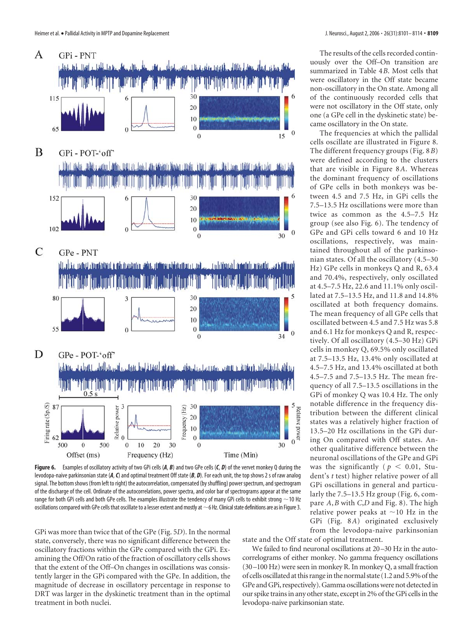

**Figure 6.** Examples of oscillatory activity of two GPi cells (*A*, *B*) and two GPe cells (*C*, *D*) of the vervet monkey Q during the levodopa-naive parkinsonian state (*A*,*C*) and optimal treatment Off state (*B*, *D*). For each unit, the top shows 2 s of raw analog signal. The bottom shows (from left to right) the autocorrelation, compensated (by shuffling) power spectrum, and spectrogram of the discharge of the cell. Ordinate of the autocorrelations, power spectra, and color bar of spectrograms appear at the same range for both GPi cells and both GPe cells. The examples illustrate the tendency of many GPi cells to exhibit strong  $\sim$  10 Hz oscillations compared with GPe cells that oscillate to a lesser extent and mostly at  $\sim$  6 Hz. Clinical state definitions are as in Figure 3.

GPi was more than twice that of the GPe (Fig. 5*D*). In the normal state, conversely, there was no significant difference between the oscillatory fractions within the GPe compared with the GPi. Examining the Off/On ratio of the fraction of oscillatory cells shows that the extent of the Off–On changes in oscillations was consistently larger in the GPi compared with the GPe. In addition, the magnitude of decrease in oscillatory percentage in response to DRT was larger in the dyskinetic treatment than in the optimal treatment in both nuclei.

The results of the cells recorded continuously over the Off–On transition are summarized in Table 4*B*. Most cells that were oscillatory in the Off state became non-oscillatory in the On state. Among all of the continuously recorded cells that were not oscillatory in the Off state, only one (a GPe cell in the dyskinetic state) became oscillatory in the On state.

The frequencies at which the pallidal cells oscillate are illustrated in Figure 8. The different frequency groups (Fig. 8*B*) were defined according to the clusters that are visible in Figure 8*A*. Whereas the dominant frequency of oscillations of GPe cells in both monkeys was between 4.5 and 7.5 Hz, in GPi cells the 7.5–13.5 Hz oscillations were more than twice as common as the 4.5–7.5 Hz group (see also Fig. 6). The tendency of GPe and GPi cells toward 6 and 10 Hz oscillations, respectively, was maintained throughout all of the parkinsonian states. Of all the oscillatory (4.5–30 Hz) GPe cells in monkeys Q and R, 63.4 and 70.4%, respectively, only oscillated at 4.5–7.5 Hz, 22.6 and 11.1% only oscillated at 7.5–13.5 Hz, and 11.8 and 14.8% oscillated at both frequency domains. The mean frequency of all GPe cells that oscillated between 4.5 and 7.5 Hz was 5.8 and 6.1 Hz for monkeys Q and R, respectively. Of all oscillatory (4.5–30 Hz) GPi cells in monkey Q, 69.5% only oscillated at 7.5–13.5 Hz, 13.4% only oscillated at 4.5–7.5 Hz, and 13.4% oscillated at both 4.5–7.5 and 7.5–13.5 Hz. The mean frequency of all 7.5–13.5 oscillations in the GPi of monkey Q was 10.4 Hz. The only notable difference in the frequency distribution between the different clinical states was a relatively higher fraction of 13.5–20 Hz oscillations in the GPi during On compared with Off states. Another qualitative difference between the neuronal oscillations of the GPe and GPi was the significantly ( $p < 0.01$ , Student's *t* test) higher relative power of all GPi oscillations in general and particularly the 7.5–13.5 Hz group (Fig. 6, compare *A*,*B* with *C*,*D* and Fig. 8). The high relative power peaks at  $\sim$ 10 Hz in the GPi (Fig. 8*A*) originated exclusively from the levodopa-naive parkinsonian

state and the Off state of optimal treatment.

We failed to find neuronal oscillations at 20–30 Hz in the autocorrelograms of either monkey. No gamma frequency oscillations (30 –100 Hz) were seen in monkey R. In monkey Q, a small fraction of cells oscillated at this rangein the normal state (1.2 and 5.9% of the GPe and GPi, respectively). Gamma oscillations were not detected in our spike trains in any other state, except in 2% of the GPi cells in the levodopa-naive parkinsonian state.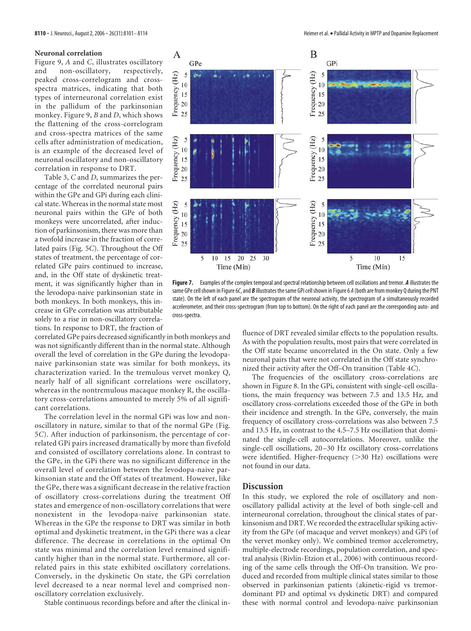### **Neuronal correlation**

Figure 9, *A* and *C*, illustrates oscillatory and non-oscillatory, respectively, peaked cross-correlogram and crossspectra matrices, indicating that both types of interneuronal correlation exist in the pallidum of the parkinsonian monkey. Figure 9, *B* and *D*, which shows the flattening of the cross-correlogram and cross-spectra matrices of the same cells after administration of medication, is an example of the decreased level of neuronal oscillatory and non-oscillatory correlation in response to DRT.

Table 3, *C* and *D*, summarizes the percentage of the correlated neuronal pairs within the GPe and GPi during each clinical state. Whereas in the normal state most neuronal pairs within the GPe of both monkeys were uncorrelated, after induction of parkinsonism, there was more than a twofold increase in the fraction of correlated pairs (Fig. 5*C*). Throughout the Off states of treatment, the percentage of correlated GPe pairs continued to increase, and, in the Off state of dyskinetic treatment, it was significantly higher than in the levodopa-naive parkinsonian state in both monkeys. In both monkeys, this increase in GPe correlation was attributable solely to a rise in non-oscillatory correlations. In response to DRT, the fraction of

correlated GPe pairs decreased significantly in both monkeys and was not significantly different than in the normal state. Although overall the level of correlation in the GPe during the levodopanaive parkinsonian state was similar for both monkeys, its characterization varied. In the tremulous vervet monkey Q, nearly half of all significant correlations were oscillatory, whereas in the nontremulous macaque monkey R, the oscillatory cross-correlations amounted to merely 5% of all significant correlations.

The correlation level in the normal GPi was low and nonoscillatory in nature, similar to that of the normal GPe (Fig. 5*C*). After induction of parkinsonism, the percentage of correlated GPi pairs increased dramatically by more than fivefold and consisted of oscillatory correlations alone. In contrast to the GPe, in the GPi there was no significant difference in the overall level of correlation between the levodopa-naive parkinsonian state and the Off states of treatment. However, like the GPe, there was a significant decrease in the relative fraction of oscillatory cross-correlations during the treatment Off states and emergence of non-oscillatory correlations that were nonexistent in the levodopa-naive parkinsonian state. Whereas in the GPe the response to DRT was similar in both optimal and dyskinetic treatment, in the GPi there was a clear difference. The decrease in correlations in the optimal On state was minimal and the correlation level remained significantly higher than in the normal state. Furthermore, all correlated pairs in this state exhibited oscillatory correlations. Conversely, in the dyskinetic On state, the GPi correlation level decreased to a near normal level and comprised nonoscillatory correlation exclusively.

Stable continuous recordings before and after the clinical in-



**Figure 7.** Examples of the complex temporal and spectral relationship between cell oscillations and tremor. *A* illustrates the same GPe cell shown in Figure 6C, and **B** illustrates the same GPi cell shown in Figure 6A (both are from monkey Q during the PNT state). On the left of each panel are the spectrogram of the neuronal activity, the spectrogram of a simultaneously recorded accelerometer, and their cross-spectrogram (from top to bottom). On the right of each panel are the corresponding auto- and cross-spectra.

fluence of DRT revealed similar effects to the population results. As with the population results, most pairs that were correlated in the Off state became uncorrelated in the On state. Only a few neuronal pairs that were not correlated in the Off state synchronized their activity after the Off–On transition (Table 4*C*).

The frequencies of the oscillatory cross-correlations are shown in Figure 8. In the GPi, consistent with single-cell oscillations, the main frequency was between 7.5 and 13.5 Hz, and oscillatory cross-correlations exceeded those of the GPe in both their incidence and strength. In the GPe, conversely, the main frequency of oscillatory cross-correlations was also between 7.5 and 13.5 Hz, in contrast to the 4.5–7.5 Hz oscillation that dominated the single-cell autocorrelations. Moreover, unlike the single-cell oscillations, 20 –30 Hz oscillatory cross-correlations were identified. Higher-frequency  $(>30$  Hz) oscillations were not found in our data.

# **Discussion**

In this study, we explored the role of oscillatory and nonoscillatory pallidal activity at the level of both single-cell and interneuronal correlation, throughout the clinical states of parkinsonism and DRT. We recorded the extracellular spiking activity from the GPe (of macaque and vervet monkeys) and GPi (of the vervet monkey only). We combined tremor accelerometry, multiple-electrode recordings, population correlation, and spectral analysis (Rivlin-Etzion et al., 2006) with continuous recording of the same cells through the Off–On transition. We produced and recorded from multiple clinical states similar to those observed in parkinsonian patients (akinetic-rigid vs tremordominant PD and optimal vs dyskinetic DRT) and compared these with normal control and levodopa-naive parkinsonian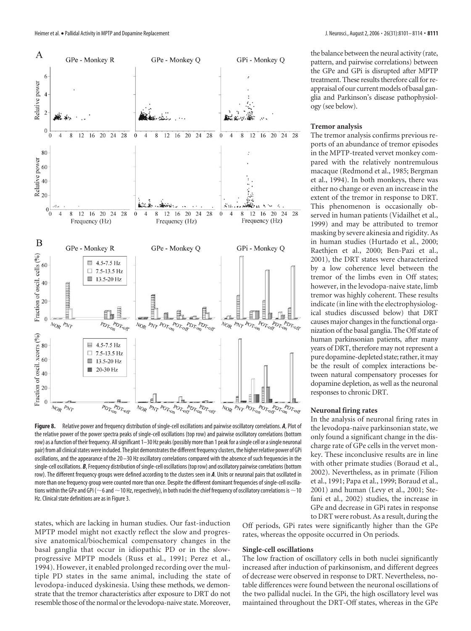

**Figure 8.** Relative power and frequency distribution of single-cell oscillations and pairwise oscillatory correlations. *A*, Plot of the relative power of the power spectra peaks of single-cell oscillations (top row) and pairwise oscillatory correlations (bottom row) as a function of their frequency. All significant 1–30 Hz peaks (possibly more than 1 peak for a single cell or a single neuronal pair) from all clinical states were included. The plot demonstrates the different frequency clusters, the higher relative power of GPi oscillations, and the appearance of the 20 –30 Hz oscillatory correlations compared with the absence of such frequencies in the single-cell oscillations. **B**, Frequency distribution of single-cell oscillations (top row) and oscillatory pairwise correlations (bottom row). The different frequency groups were defined according to the clusters seen in *A*. Units or neuronal pairs that oscillated in more than one frequency group were counted more than once. Despite the different dominant frequencies of single-cell oscillations within the GPe and GPi ( $\sim$ 6 and  $\sim$  10 Hz, respectively), in both nuclei the chief frequency of oscillatory correlations is  $\sim$  10

the balance between the neural activity (rate, pattern, and pairwise correlations) between the GPe and GPi is disrupted after MPTP treatment. These results therefore call for reappraisal of our current models of basal ganglia and Parkinson's disease pathophysiology (see below).

#### **Tremor analysis**

The tremor analysis confirms previous reports of an abundance of tremor episodes in the MPTP-treated vervet monkey compared with the relatively nontremulous macaque (Redmond et al., 1985; Bergman et al., 1994). In both monkeys, there was either no change or even an increase in the extent of the tremor in response to DRT. This phenomenon is occasionally observed in human patients (Vidailhet et al., 1999) and may be attributed to tremor masking by severe akinesia and rigidity. As in human studies (Hurtado et al., 2000; Raethjen et al., 2000; Ben-Pazi et al., 2001), the DRT states were characterized by a low coherence level between the tremor of the limbs even in Off states; however, in the levodopa-naive state, limb tremor was highly coherent. These results indicate (in line with the electrophysiological studies discussed below) that DRT causes major changes in the functional organization of the basal ganglia. The Off state of human parkinsonian patients, after many years of DRT, therefore may not represent a pure dopamine-depleted state; rather, it may be the result of complex interactions between natural compensatory processes for dopamine depletion, as well as the neuronal responses to chronic DRT.

#### **Neuronal firing rates**

In the analysis of neuronal firing rates in the levodopa-naive parkinsonian state, we only found a significant change in the discharge rate of GPe cells in the vervet monkey. These inconclusive results are in line with other primate studies (Boraud et al., 2002). Nevertheless, as in primate (Filion et al., 1991; Papa et al., 1999; Boraud et al., 2001) and human (Levy et al., 2001; Stefani et al., 2002) studies, the increase in GPe and decrease in GPi rates in response to DRT were robust. As a result, during the

states, which are lacking in human studies. Our fast-induction MPTP model might not exactly reflect the slow and progressive anatomical/biochemical compensatory changes in the basal ganglia that occur in idiopathic PD or in the slowprogressive MPTP models (Russ et al., 1991; Perez et al., 1994). However, it enabled prolonged recording over the multiple PD states in the same animal, including the state of levodopa-induced dyskinesia. Using these methods, we demonstrate that the tremor characteristics after exposure to DRT do not resemble those of the normal or the levodopa-naive state. Moreover,

Hz. Clinical state definitions are as in Figure 3.

Off periods, GPi rates were significantly higher than the GPe rates, whereas the opposite occurred in On periods.

## **Single-cell oscillations**

The low fraction of oscillatory cells in both nuclei significantly increased after induction of parkinsonism, and different degrees of decrease were observed in response to DRT. Nevertheless, notable differences were found between the neuronal oscillations of the two pallidal nuclei. In the GPi, the high oscillatory level was maintained throughout the DRT-Off states, whereas in the GPe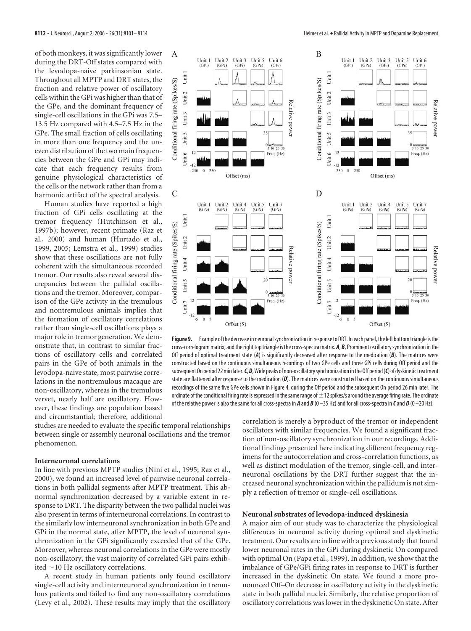of both monkeys, it was significantly lower during the DRT-Off states compared with the levodopa-naive parkinsonian state. Throughout all MPTP and DRT states, the fraction and relative power of oscillatory cells within the GPi was higher than that of the GPe, and the dominant frequency of single-cell oscillations in the GPi was 7.5– 13.5 Hz compared with 4.5–7.5 Hz in the GPe. The small fraction of cells oscillating in more than one frequency and the uneven distribution of the two main frequencies between the GPe and GPi may indicate that each frequency results from genuine physiological characteristics of the cells or the network rather than from a harmonic artifact of the spectral analysis.

Human studies have reported a high fraction of GPi cells oscillating at the tremor frequency (Hutchinson et al., 1997b); however, recent primate (Raz et al., 2000) and human (Hurtado et al., 1999, 2005; Lemstra et al., 1999) studies show that these oscillations are not fully coherent with the simultaneous recorded tremor. Our results also reveal several discrepancies between the pallidal oscillations and the tremor. Moreover, comparison of the GPe activity in the tremulous and nontremulous animals implies that the formation of oscillatory correlations rather than single-cell oscillations plays a major role in tremor generation. We demonstrate that, in contrast to similar fractions of oscillatory cells and correlated pairs in the GPe of both animals in the levodopa-naive state, most pairwise correlations in the nontremulous macaque are non-oscillatory, whereas in the tremulous vervet, nearly half are oscillatory. However, these findings are population based and circumstantial; therefore, additional



Figure 9. Example of the decrease in neuronal synchronization in response to DRT. In each panel, the left bottom triangle is the cross-correlogram matrix, and the right top triangle is the cross-spectra matrix. *A*, *B*, Prominent oscillatorysynchronization in the Off period of optimal treatment state (*A*) is significantly decreased after response to the medication (*B*). The matrices were constructed based on the continuous simultaneous recordings of two GPe cells and three GPi cells during Off period and the subsequentOn period 22min later.*C*,*D*,Wide peaks of non-oscillatorysynchronization intheOff period(*C*) of dyskinetictreatment state are flattened after response to the medication (*D*). The matrices were constructed based on the continuous simultaneous recordings of the same five GPe cells shown in Figure 4, during the Off period and the subsequent On period 26 min later. The ordinate of the conditional firing rate is expressed in the same range of  $\pm$  12 spikes/s around the average firing rate. The ordinate of the relative power is also the same for all cross-spectra in *A* and *B* (0 –35 Hz) and for all cross-spectra in *C*and *D* (0 –20 Hz).

studies are needed to evaluate the specific temporal relationships between single or assembly neuronal oscillations and the tremor phenomenon.

## **Interneuronal correlations**

In line with previous MPTP studies (Nini et al., 1995; Raz et al., 2000), we found an increased level of pairwise neuronal correlations in both pallidal segments after MPTP treatment. This abnormal synchronization decreased by a variable extent in response to DRT. The disparity between the two pallidal nuclei was also present in terms of interneuronal correlations. In contrast to the similarly low interneuronal synchronization in both GPe and GPi in the normal state, after MPTP, the level of neuronal synchronization in the GPi significantly exceeded that of the GPe. Moreover, whereas neuronal correlations in the GPe were mostly non-oscillatory, the vast majority of correlated GPi pairs exhibited  $\sim$ 10 Hz oscillatory correlations.

A recent study in human patients only found oscillatory single-cell activity and interneuronal synchronization in tremulous patients and failed to find any non-oscillatory correlations (Levy et al., 2002). These results may imply that the oscillatory correlation is merely a byproduct of the tremor or independent oscillators with similar frequencies. We found a significant fraction of non-oscillatory synchronization in our recordings. Additional findings presented here indicating different frequency regimens for the autocorrelation and cross-correlation functions, as well as distinct modulation of the tremor, single-cell, and interneuronal oscillations by the DRT further suggest that the increased neuronal synchronization within the pallidum is not simply a reflection of tremor or single-cell oscillations.

## **Neuronal substrates of levodopa-induced dyskinesia**

A major aim of our study was to characterize the physiological differences in neuronal activity during optimal and dyskinetic treatment. Our results are in line with a previous study that found lower neuronal rates in the GPi during dyskinetic On compared with optimal On (Papa et al., 1999). In addition, we show that the imbalance of GPe/GPi firing rates in response to DRT is further increased in the dyskinetic On state. We found a more pronounced Off–On decrease in oscillatory activity in the dyskinetic state in both pallidal nuclei. Similarly, the relative proportion of oscillatory correlations was lower in the dyskinetic On state. After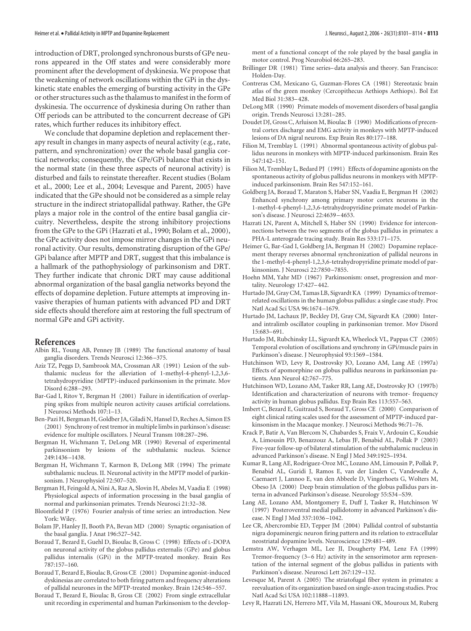introduction of DRT, prolonged synchronous bursts of GPe neurons appeared in the Off states and were considerably more prominent after the development of dyskinesia. We propose that the weakening of network oscillations within the GPi in the dyskinetic state enables the emerging of bursting activity in the GPe or other structures such as the thalamus to manifest in the form of dyskinesia. The occurrence of dyskinesia during On rather than Off periods can be attributed to the concurrent decrease of GPi rates, which further reduces its inhibitory effect.

We conclude that dopamine depletion and replacement therapy result in changes in many aspects of neural activity (e.g., rate, pattern, and synchronization) over the whole basal ganglia cortical networks; consequently, the GPe/GPi balance that exists in the normal state (in these three aspects of neuronal activity) is disturbed and fails to reinstate thereafter. Recent studies (Bolam et al., 2000; Lee et al., 2004; Levesque and Parent, 2005) have indicated that the GPe should not be considered as a simple relay structure in the indirect striatopallidal pathway. Rather, the GPe plays a major role in the control of the entire basal ganglia circuitry. Nevertheless, despite the strong inhibitory projections from the GPe to the GPi (Hazrati et al., 1990; Bolam et al., 2000), the GPe activity does not impose mirror changes in the GPi neuronal activity. Our results, demonstrating disruption of the GPe/ GPi balance after MPTP and DRT, suggest that this imbalance is a hallmark of the pathophysiology of parkinsonism and DRT. They further indicate that chronic DRT may cause additional abnormal organization of the basal ganglia networks beyond the effects of dopamine depletion. Future attempts at improving invasive therapies of human patients with advanced PD and DRT side effects should therefore aim at restoring the full spectrum of normal GPe and GPi activity.

#### **References**

- Albin RL, Young AB, Penney JB (1989) The functional anatomy of basal ganglia disorders. Trends Neurosci 12:366 –375.
- Aziz TZ, Peggs D, Sambrook MA, Crossman AR (1991) Lesion of the subthalamic nucleus for the alleviation of 1-methyl-4-phenyl-1,2,3,6 tetrahydropyridine (MPTP)-induced parkinsonism in the primate. Mov Disord 6:288 –293.
- Bar-Gad I, Ritov Y, Bergman H (2001) Failure in identification of overlapping spikes from multiple neuron activity causes artificial correlations. J Neurosci Methods 107:1–13.
- Ben-Pazi H, Bergman H, Goldber JA, Giladi N, Hansel D, Reches A, Simon ES (2001) Synchrony of rest tremor in multiple limbs in parkinson's disease: evidence for multiple oscillators. J Neural Transm 108:287–296.
- Bergman H, Wichmann T, DeLong MR (1990) Reversal of experimental parkinsonism by lesions of the subthalamic nucleus. Science 249:1436 –1438.
- Bergman H, Wichmann T, Karmon B, DeLong MR (1994) The primate subthalamic nucleus. II. Neuronal activity in the MPTP model of parkinsonism. J Neurophysiol 72:507–520.
- Bergman H, Feingold A, Nini A, Raz A, Slovin H, Abeles M, Vaadia E (1998) Physiological aspects of information processing in the basal ganglia of normal and parkinsonian primates. Trends Neurosci 21:32–38.
- Bloomfield P (1976) Fourier analysis of time series: an introduction. New York: Wiley.
- Bolam JP, Hanley JJ, Booth PA, Bevan MD (2000) Synaptic organisation of the basal ganglia. J Anat 196:527–542.
- Boraud T, Bezard E, Guehl D, Bioulac B, Gross C (1998) Effects of L-DOPA on neuronal activity of the globus pallidus externalis (GPe) and globus pallidus internalis (GPi) in the MPTP-treated monkey. Brain Res 787:157–160.
- Boraud T, Bezard E, Bioulac B, Gross CE (2001) Dopamine agonist-induced dyskinesias are correlated to both firing pattern and frequency alterations of pallidal neurones in the MPTP-treated monkey. Brain 124:546 –557.
- Boraud T, Bezard E, Bioulac B, Gross CE (2002) From single extracellular unit recording in experimental and human Parkinsonism to the develop-

ment of a functional concept of the role played by the basal ganglia in motor control. Prog Neurobiol 66:265–283.

- Brillinger DR (1981) Time series– data analysis and theory. San Francisco: Holden-Day.
- Contreras CM, Mexicano G, Guzman-Flores CA (1981) Stereotaxic brain atlas of the green monkey (Cercopithecus Aethiops Aethiops). Bol Est Med Biol 31:383–428.
- DeLong MR (1990) Primate models of movement disorders of basal ganglia origin. Trends Neurosci 13:281–285.
- Doudet DJ, Gross C, Arluison M, Bioulac B (1990) Modifications of precentral cortex discharge and EMG activity in monkeys with MPTP-induced lesions of DA nigral neurons. Exp Brain Res 80:177–188.
- Filion M, Tremblay L (1991) Abnormal spontaneous activity of globus pallidus neurons in monkeys with MPTP-induced parkinsonism. Brain Res 547:142–151.
- Filion M, Tremblay L, Bedard PJ (1991) Effects of dopamine agonists on the spontaneous activity of globus pallidus neurons in monkeys with MPTPinduced parkinsonism. Brain Res 547:152–161.
- Goldberg JA, Boraud T, Maraton S, Haber SN, Vaadia E, Bergman H (2002) Enhanced synchrony among primary motor cortex neurons in the 1-methyl-4-phenyl-1,2,3,6-tetrahydropyridine primate model of Parkinson's disease. J Neurosci 22:4639 –4653.
- Hazrati LN, Parent A, Mitchell S, Haber SN (1990) Evidence for interconnections between the two segments of the globus pallidus in primates: a PHA-L anterograde tracing study. Brain Res 533:171–175.
- Heimer G, Bar-Gad I, Goldberg JA, Bergman H (2002) Dopamine replacement therapy reverses abnormal synchronization of pallidal neurons in the 1-methyl-4-phenyl-1,2,3,6-tetrahydropyridine primate model of parkinsonism. J Neurosci 22:7850 –7855.
- Hoehn MM, Yahr MD (1967) Parkinsonism: onset, progression and mortality. Neurology 17:427–442.
- Hurtado JM, Gray CM, Tamas LB, Sigvardt KA (1999) Dynamics of tremorrelated oscillations in the human globus pallidus: a single case study. Proc Natl Acad Sci USA 96:1674 –1679.
- Hurtado JM, Lachaux JP, Beckley DJ, Gray CM, Sigvardt KA (2000) Interand intralimb oscillator coupling in parkinsonian tremor. Mov Disord 15:683–691.
- Hurtado JM, Rubchinsky LL, Sigvardt KA, Wheelock VL, Pappas CT (2005) Temporal evolution of oscillations and synchrony in GPi/muscle pairs in Parkinson's disease. J Neurophysiol 93:1569 –1584.
- Hutchinson WD, Levy R, Dostrovsky JO, Lozano AM, Lang AE (1997a) Effects of apomorphine on globus pallidus neurons in parkinsonian patients. Ann Neurol 42:767–775.
- Hutchinson WD, Lozano AM, Tasker RR, Lang AE, Dostrovsky JO (1997b) Identification and characterization of neurons with tremor- frequency activity in human globus pallidus. Exp Brain Res 113:557–563.
- Imbert C, Bezard E, Guitraud S, Boraud T, Gross CE (2000) Comparison of eight clinical rating scales used for the assessment of MPTP-induced parkinsonism in the Macaque monkey. J Neurosci Methods 96:71–76.
- Krack P, Batir A, Van Blercom N, Chabardes S, Fraix V, Ardouin C, Koudsie A, Limousin PD, Benazzouz A, Lebas JF, Benabid AL, Pollak P (2003) Five-year follow-up of bilateral stimulation of the subthalamic nucleus in advanced Parkinson's disease. N Engl J Med 349:1925–1934.
- Kumar R, Lang AE, Rodriguez-Oroz MC, Lozano AM, Limousin P, Pollak P, Benabid AL, Guridi J, Ramos E, van der Linden C, Vandewalle A, Caemaert J, Lannoo E, van den Abbeele D, Vingerhoets G, Wolters M, Obeso JA (2000) Deep brain stimulation of the globus pallidus pars interna in advanced Parkinson's disease. Neurology 55:S34 –S39.
- Lang AE, Lozano AM, Montgomery E, Duff J, Tasker R, Hutchinson W (1997) Posteroventral medial pallidotomy in advanced Parkinson's disease. N Engl J Med 337:1036-1042.
- Lee CR, Abercrombie ED, Tepper JM (2004) Pallidal control of substantia nigra dopaminergic neuron firing pattern and its relation to extracellular neostriatal dopamine levels. Neuroscience 129:481–489.
- Lemstra AW, Verhagen ML, Lee JI, Dougherty PM, Lenz FA (1999) Tremor-frequency (3–6 Hz) activity in the sensorimotor arm representation of the internal segment of the globus pallidus in patients with Parkinson's disease. Neurosci Lett 267:129 –132.
- Levesque M, Parent A (2005) The striatofugal fiber system in primates: a reevaluation of its organization based on single-axon tracing studies. Proc Natl Acad Sci USA 102:11888 –11893.
- Levy R, Hazrati LN, Herrero MT, Vila M, Hassani OK, Mouroux M, Ruberg